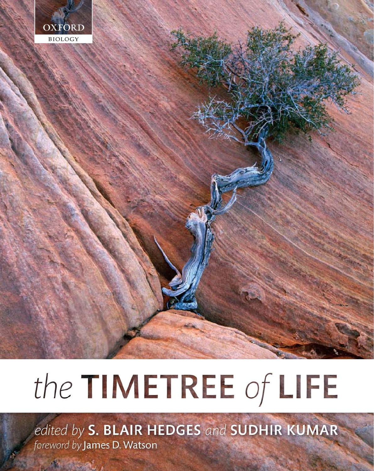

# the TIMETREE of LIFE

edited by S. BLAIR HEDGES and SUDHIR KUMAR foreword by James D. Watson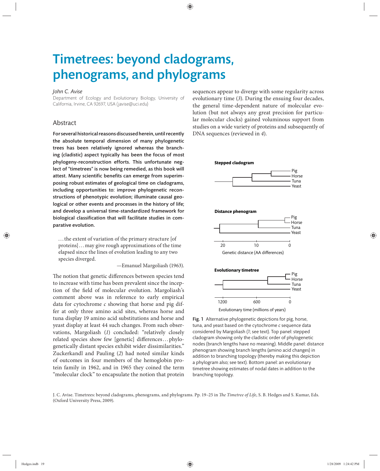# Timetrees: beyond cladograms, phenograms, and phylograms

#### *John C. Avise*

Department of Ecology and Evolutionary Biology, University of California, Irvine, CA 92697, USA (javise@uci.edu)

# Abstract

For several historical reasons discussed herein, until recently the absolute temporal dimension of many phylogenetic trees has been relatively ignored whereas the branching (cladistic) aspect typically has been the focus of most phylogeny-reconstruction efforts. This unfortunate neglect of "timetrees" is now being remedied, as this book will attest. Many scientific benefits can emerge from superimposing robust estimates of geological time on cladograms, including opportunities to: improve phylogenetic reconstructions of phenotypic evolution; illuminate causal geological or other events and processes in the history of life; and develop a universal time-standardized framework for biological classification that will facilitate studies in comparative evolution.

... the extent of variation of the primary structure [of proteins] . . . may give rough approximations of the time elapsed since the lines of evolution leading to any two species diverged.

—Emanuel Margoliash (1963).

The notion that genetic differences between species tend to increase with time has been prevalent since the inception of the field of molecular evolution. Margoliash's comment above was in reference to early empirical data for cytochrome *c* showing that horse and pig differ at only three amino acid sites, whereas horse and tuna display 19 amino acid substitutions and horse and yeast display at least 44 such changes. From such observations, Margoliash (1) concluded: "relatively closely related species show few [genetic] differences...phylogenetically distant species exhibit wider dissimilarities." Zuckerkandl and Pauling (*2*) had noted similar kinds of outcomes in four members of the hemoglobin protein family in 1962, and in 1965 they coined the term "molecular clock" to encapsulate the notion that protein

sequences appear to diverge with some regularity across evolutionary time (*3*). During the ensuing four decades, the general time-dependent nature of molecular evolution (but not always any great precision for particular molecular clocks) gained voluminous support from studies on a wide variety of proteins and subsequently of DNA sequences (reviewed in *4*).



Fig. 1 Alternative phylogenetic depictions for pig, horse, tuna, and yeast based on the cytochrome *c* sequence data considered by Margoliash (*1*; see text). Top panel: stepped cladogram showing only the cladistic order of phylogenetic nodes (branch lengths have no meaning). Middle panel: distance phenogram showing branch lengths (amino acid changes) in addition to branching topology (thereby making this depiction a phylogram also; see text). Bottom panel: an evolutionary timetree showing estimates of nodal dates in addition to the branching topology.

J. C. Avise. Timetrees: beyond cladograms, phenograms, and phylograms. Pp. 19-25 in *The Timetree of Life*, S. B. Hedges and S. Kumar, Eds. (Oxford University Press, 2009).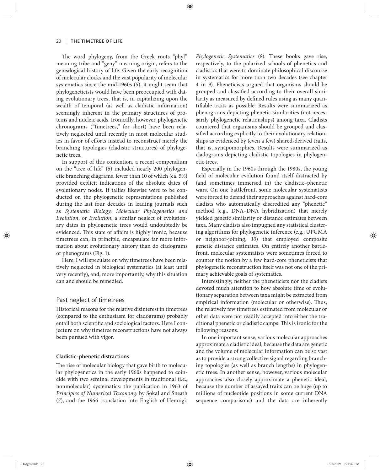The word phylogeny, from the Greek roots "phyl" meaning tribe and "geny" meaning origin, refers to the genealogical history of life. Given the early recognition of molecular clocks and the vast popularity of molecular systematics since the mid-1960s (*5*), it might seem that phylogeneticists would have been preoccupied with dating evolutionary trees, that is, in capitalizing upon the wealth of temporal (as well as cladistic information) seemingly inherent in the primary structures of proteins and nucleic acids. Ironically, however, phylogenetic chronograms ("timetrees," for short) have been relatively neglected until recently in most molecular studies in favor of efforts instead to reconstruct merely the branching topologies (cladistic structures) of phylogenetic trees.

In support of this contention, a recent compendium on the "tree of life" (*6*) included nearly 200 phylogenetic branching diagrams, fewer than 10 of which (ca. 5%) provided explicit indications of the absolute dates of evolutionary nodes. If tallies likewise were to be conducted on the phylogenetic representations published during the last four decades in leading journals such as *Systematic Biology*, *Molecular Phylogenetics and Evolution*, or *Evolution*, a similar neglect of evolutionary dates in phylogenetic trees would undoubtedly be evidenced. This state of affairs is highly ironic, because timetrees can, in principle, encapsulate far more information about evolutionary history than do cladograms or phenograms (Fig. 1).

Here, I will speculate on why timetrees have been relatively neglected in biological systematics (at least until very recently), and, more importantly, why this situation can and should be remedied.

### Past neglect of timetrees

Historical reasons for the relative disinterest in timetrees (compared to the enthusiasm for cladograms) probably entail both scientific and sociological factors. Here I conjecture on why timetree reconstructions have not always been pursued with vigor.

#### Cladistic–phenetic distractions

The rise of molecular biology that gave birth to molecular phylogenetics in the early 1960s happened to coincide with two seminal developments in traditional (i.e., nonmolecular) systematics: the publication in 1963 of *Principles of Numerical Taxonomy* by Sokal and Sneath (*7*), and the 1966 translation into English of Hennig's *Phylogenetic Systematics (8)*. These books gave rise, respectively, to the polarized schools of phenetics and cladistics that were to dominate philosophical discourse in systematics for more than two decades (see chapter 4 in *9*). Pheneticists argued that organisms should be grouped and classified according to their overall similarity as measured by defined rules using as many quantifiable traits as possible. Results were summarized as phenograms depicting phenetic similarities (not necessarily phylogenetic relationships) among taxa. Cladists countered that organisms should be grouped and classified according explicitly to their evolutionary relationships as evidenced by (even a few) shared-derived traits, that is, synapomorphies. Results were summarized as cladograms depicting cladistic topologies in phylogenetic trees.

Especially in the 1960s through the 1980s, the young field of molecular evolution found itself distracted by (and sometimes immersed in) the cladistic–phenetic wars. On one battlefront, some molecular systematists were forced to defend their approaches against hard-core cladists who automatically discredited any "phenetic" method (e.g., DNA–DNA hybridization) that merely yielded genetic similarity or distance estimates between taxa. Many cladists also impugned any statistical clustering algorithms for phylogenetic inference (e.g., UPGMA or neighbor-joining, *10*) that employed composite genetic distance estimates. On entirely another battlefront, molecular systematists were sometimes forced to counter the notion by a few hard-core pheneticists that phylogenetic reconstruction itself was not one of the primary achievable goals of systematics.

Interestingly, neither the pheneticists nor the cladists devoted much attention to how absolute time of evolutionary separation between taxa might be extracted from empirical information (molecular or otherwise). Thus, the relatively few timetrees estimated from molecular or other data were not readily accepted into either the traditional phenetic or cladistic camps. This is ironic for the following reasons.

In one important sense, various molecular approaches approximate a cladistic ideal, because the data are genetic and the volume of molecular information can be so vast as to provide a strong collective signal regarding branching topologies (as well as branch lengths) in phylogenetic trees. In another sense, however, various molecular approaches also closely approximate a phenetic ideal, because the number of assayed traits can be huge (up to millions of nucleotide positions in some current DNA sequence comparisons) and the data are inherently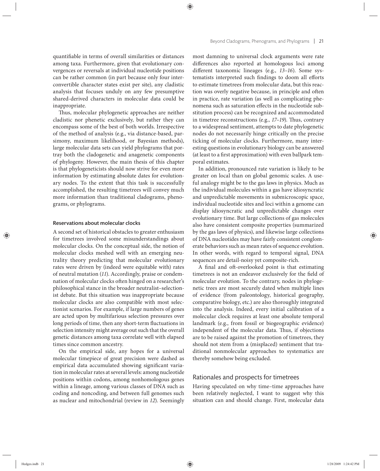quantifiable in terms of overall similarities or distances among taxa. Furthermore, given that evolutionary convergences or reversals at individual nucleotide positions can be rather common (in part because only four interconvertible character states exist per site), any cladistic analysis that focuses unduly on any few presumptive shared-derived characters in molecular data could be inappropriate.

Thus, molecular phylogenetic approaches are neither cladistic nor phenetic exclusively, but rather they can encompass some of the best of both worlds. Irrespective of the method of analysis (e.g., via distance-based, parsimony, maximum likelihood, or Bayesian methods), large molecular data sets can yield phylograms that portray both the cladogenetic and anagenetic components of phylogeny. However, the main thesis of this chapter is that phylogeneticists should now strive for even more information by estimating absolute dates for evolutionary nodes. To the extent that this task is successfully accomplished, the resulting timetrees will convey much more information than traditional cladograms, phenograms, or phylograms.

#### Reservations about molecular clocks

A second set of historical obstacles to greater enthusiasm for timetrees involved some misunderstandings about molecular clocks. On the conceptual side, the notion of molecular clocks meshed well with an emerging neutrality theory predicting that molecular evolutionary rates were driven by (indeed were equitable with) rates of neutral mutation (*11*). Accordingly, praise or condemnation of molecular clocks often hinged on a researcher's philosophical stance in the broader neutralist–selectionist debate. But this situation was inappropriate because molecular clocks are also compatible with most selectionist scenarios. For example, if large numbers of genes are acted upon by multifarious selection pressures over long periods of time, then any short-term fluctuations in selection intensity might average out such that the overall genetic distances among taxa correlate well with elapsed times since common ancestry.

On the empirical side, any hopes for a universal molecular timepiece of great precision were dashed as empirical data accumulated showing significant variation in molecular rates at several levels: among nucleotide positions within codons, among nonhomologous genes within a lineage, among various classes of DNA such as coding and noncoding, and between full genomes such as nuclear and mitochondrial (review in *12*). Seemingly

most damning to universal clock arguments were rate differences also reported at homologous loci among different taxonomic lineages (e.g., 13-16). Some systematists interpreted such findings to doom all efforts to estimate timetrees from molecular data, but this reaction was overly negative because, in principle and often in practice, rate variation (as well as complicating phenomena such as saturation effects in the nucleotide substitution process) can be recognized and accommodated in timetree reconstructions (e.g., 17-19). Thus, contrary to a widespread sentiment, attempts to date phylogenetic nodes do not necessarily hinge critically on the precise ticking of molecular clocks. Furthermore, many interesting questions in evolutionary biology can be answered (at least to a first approximation) with even ballpark temporal estimates.

In addition, pronounced rate variation is likely to be greater on local than on global genomic scales. A useful analogy might be to the gas laws in physics. Much as the individual molecules within a gas have idiosyncratic and unpredictable movements in submicroscopic space, individual nucleotide sites and loci within a genome can display idiosyncratic and unpredictable changes over evolutionary time. But large collections of gas molecules also have consistent composite properties (summarized by the gas laws of physics), and likewise large collections of DNA nucleotides may have fairly consistent conglomerate behaviors such as mean rates of sequence evolution. In other words, with regard to temporal signal, DNA sequences are detail-noisy yet composite-rich.

A final and oft-overlooked point is that estimating timetrees is not an endeavor exclusively for the field of molecular evolution. To the contrary, nodes in phylogenetic trees are most securely dated when multiple lines of evidence (from paleontology, historical geography, comparative biology, etc.) are also thoroughly integrated into the analysis. Indeed, every initial calibration of a molecular clock requires at least one absolute temporal landmark (e.g., from fossil or biogeographic evidence) independent of the molecular data. Thus, if objections are to be raised against the promotion of timetrees, they should not stem from a (misplaced) sentiment that traditional nonmolecular approaches to systematics are thereby somehow being excluded.

#### Rationales and prospects for timetrees

Having speculated on why time-time approaches have been relatively neglected, I want to suggest why this situation can and should change. First, molecular data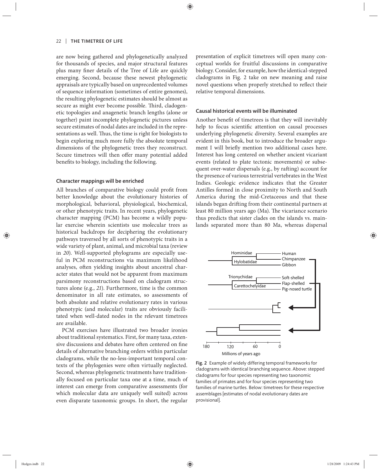are now being gathered and phylogenetically analyzed for thousands of species, and major structural features plus many finer details of the Tree of Life are quickly emerging. Second, because these newest phylogenetic appraisals are typically based on unprecedented volumes of sequence information (sometimes of entire genomes), the resulting phylogenetic estimates should be almost as secure as might ever become possible. Third, cladogenetic topologies and anagenetic branch lengths (alone or together) paint incomplete phylogenetic pictures unless secure estimates of nodal dates are included in the representations as well. Thus, the time is right for biologists to begin exploring much more fully the absolute temporal dimensions of the phylogenetic trees they reconstruct. Secure timetrees will then offer many potential added benefits to biology, including the following.

#### Character mappings will be enriched

All branches of comparative biology could profit from better knowledge about the evolutionary histories of morphological, behavioral, physiological, biochemical, or other phenotypic traits. In recent years, phylogenetic character mapping (PCM) has become a wildly popular exercise wherein scientists use molecular trees as historical backdrops for deciphering the evolutionary pathways traversed by all sorts of phenotypic traits in a wide variety of plant, animal, and microbial taxa (review in 20). Well-supported phylograms are especially useful in PCM reconstructions via maximum likelihood analyses, often yielding insights about ancestral character states that would not be apparent from maximum parsimony reconstructions based on cladogram structures alone (e.g., *21*). Furthermore, time is the common denominator in all rate estimates, so assessments of both absolute and relative evolutionary rates in various phenotypic (and molecular) traits are obviously facilitated when well-dated nodes in the relevant timetrees are available.

PCM exercises have illustrated two broader ironies about traditional systematics. First, for many taxa, extensive discussions and debates have often centered on fine details of alternative branching orders within particular cladograms, while the no-less-important temporal contexts of the phylogenies were often virtually neglected. Second, whereas phylogenetic treatments have traditionally focused on particular taxa one at a time, much of interest can emerge from comparative assessments (for which molecular data are uniquely well suited) across even disparate taxonomic groups. In short, the regular

presentation of explicit timetrees will open many conceptual worlds for fruitful discussions in comparative biology. Consider, for example, how the identical-stepped cladograms in Fig. 2 take on new meaning and raise novel questions when properly stretched to reflect their relative temporal dimensions.

#### Causal historical events will be illuminated

Another benefit of timetrees is that they will inevitably help to focus scientific attention on causal processes underlying phylogenetic diversity. Several examples are evident in this book, but to introduce the broader argument I will briefly mention two additional cases here. Interest has long centered on whether ancient vicariant events (related to plate tectonic movements) or subsequent over-water dispersals (e.g., by rafting) account for the presence of various terrestrial vertebrates in the West Indies. Geologic evidence indicates that the Greater Antilles formed in close proximity to North and South America during the mid-Cretaceous and that these islands began drifting from their continental partners at least 80 million years ago (Ma). The vicariance scenario thus predicts that sister clades on the islands vs. mainlands separated more than 80 Ma, whereas dispersal



Fig. 2 Example of widely differing temporal frameworks for cladograms with identical branching sequence. Above: stepped cladograms for four species representing two taxonomic families of primates and for four species representing two families of marine turtles. Below: timetrees for these respective assemblages [estimates of nodal evolutionary dates are provisional].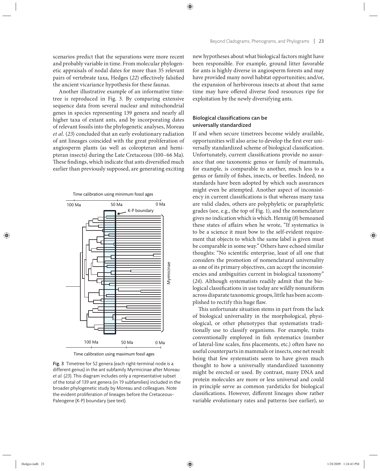scenarios predict that the separations were more recent and probably variable in time. From molecular phylogenetic appraisals of nodal dates for more than 35 relevant pairs of vertebrate taxa, Hedges (22) effectively falsified the ancient vicariance hypothesis for these faunas.

Another illustrative example of an informative timetree is reproduced in Fig. 3. By comparing extensive sequence data from several nuclear and mitochondrial genes in species representing 139 genera and nearly all higher taxa of extant ants, and by incorporating dates of relevant fossils into the phylogenetic analyses, Moreau *et al.* (*23*) concluded that an early evolutionary radiation of ant lineages coincided with the great proliferation of angiosperm plants (as well as coleopteran and hemipteran insects) during the Late Cretaceous (100–66 Ma). These findings, which indicate that ants diversified much earlier than previously supposed, are generating exciting



Time calibration using maximum fossil ages

Fig. 3 Timetree for 52 genera (each right-terminal node is a different genus) in the ant subfamily Myrmicinae after Moreau *et al.* (*23*). This diagram includes only a representative subset of the total of 139 ant genera (in 19 subfamilies) included in the broader phylogenetic study by Moreau and colleagues. Note the evident proliferation of lineages before the Cretaceous– Paleogene (K-P) boundary (see text).

new hypotheses about what biological factors might have been responsible. For example, ground litter favorable for ants is highly diverse in angiosperm forests and may have provided many novel habitat opportunities; and/or, the expansion of herbivorous insects at about that same time may have offered diverse food resources ripe for exploitation by the newly diversifying ants.

### Biological classifications can be universally standardized

If and when secure timetrees become widely available, opportunities will also arise to develop the first ever universally standardized scheme of biological classification. Unfortunately, current classifications provide no assurance that one taxonomic genus or family of mammals, for example, is comparable to another, much less to a genus or family of fishes, insects, or beetles. Indeed, no standards have been adopted by which such assurances might even be attempted. Another aspect of inconsistency in current classifications is that whereas many taxa are valid clades, others are polyphyletic or paraphyletic grades (see, e.g., the top of Fig. 1), and the nomenclature gives no indication which is which. Hennig (*8*) bemoaned these states of affairs when he wrote, "If systematics is to be a science it must bow to the self-evident requirement that objects to which the same label is given must be comparable in some way." Others have echoed similar thoughts: "No scientific enterprise, least of all one that considers the promotion of nomenclatural universality as one of its primary objectives, can accept the inconsistencies and ambiguities current in biological taxonomy" (24). Although systematists readily admit that the biological classifications in use today are wildly nonuniform across disparate taxonomic groups, little has been accomplished to rectify this huge flaw.

This unfortunate situation stems in part from the lack of biological universality in the morphological, physiological, or other phenotypes that systematists traditionally use to classify organisms. For example, traits conventionally employed in fish systematics (number of lateral-line scales, fins placements, etc.) often have no useful counterparts in mammals or insects, one net result being that few systematists seem to have given much thought to how a universally standardized taxonomy might be erected or used. By contrast, many DNA and protein molecules are more or less universal and could in principle serve as common yardsticks for biological classifications. However, different lineages show rather variable evolutionary rates and patterns (see earlier), so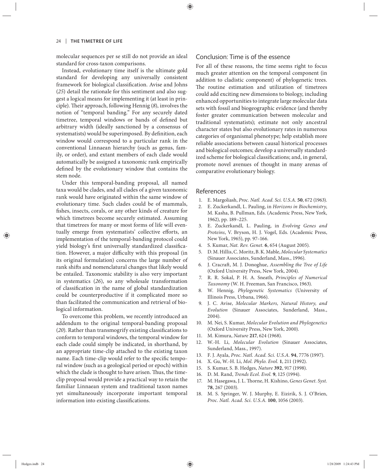molecular sequences per se still do not provide an ideal standard for cross-taxon comparisons.

Instead, evolutionary time itself is the ultimate gold standard for developing any universally consistent framework for biological classification. Avise and Johns (*25*) detail the rationale for this sentiment and also suggest a logical means for implementing it (at least in principle). Their approach, following Hennig (8), involves the notion of "temporal banding." For any securely dated timetree, temporal windows or bands of defined but arbitrary width (ideally sanctioned by a consensus of systematists) would be superimposed. By definition, each window would correspond to a particular rank in the conventional Linnaean hierarchy (such as genus, family, or order), and extant members of each clade would automatically be assigned a taxonomic rank empirically defined by the evolutionary window that contains the stem node.

Under this temporal-banding proposal, all named taxa would be clades, and all clades of a given taxonomic rank would have originated within the same window of evolutionary time. Such clades could be of mammals, fishes, insects, corals, or any other kinds of creature for which timetrees become securely estimated. Assuming that timetrees for many or most forms of life will eventually emerge from systematists' collective efforts, an implementation of the temporal-banding protocol could yield biology's first universally standardized classification. However, a major difficulty with this proposal (in its original formulation) concerns the large number of rank shifts and nomenclatural changes that likely would be entailed. Taxonomic stability is also very important in systematics (*26*), so any wholesale transformation of classification in the name of global standardization could be counterproductive if it complicated more so than facilitated the communication and retrieval of biological information.

To overcome this problem, we recently introduced an addendum to the original temporal-banding proposal (20). Rather than transmogrify existing classifications to conform to temporal windows, the temporal window for each clade could simply be indicated, in shorthand, by an appropriate time-clip attached to the existing taxon name. Each time-clip would refer to the specific temporal window (such as a geological period or epoch) within which the clade is thought to have arisen. Thus, the timeclip proposal would provide a practical way to retain the familiar Linnaean system and traditional taxon names yet simultaneously incorporate important temporal information into existing classifications.

## Conclusion: Time is of the essence

For all of these reasons, the time seems right to focus much greater attention on the temporal component (in addition to cladistic component) of phylogenetic trees. The routine estimation and utilization of timetrees could add exciting new dimensions to biology, including enhanced opportunities to integrate large molecular data sets with fossil and biogeographic evidence (and thereby foster greater communication between molecular and traditional systematists); estimate not only ancestral character states but also evolutionary rates in numerous categories of organismal phenotype; help establish more reliable associations between causal historical processes and biological outcomes; develop a universally standardized scheme for biological classifications; and, in general, promote novel avenues of thought in many arenas of comparative evolutionary biology.

#### References

- 1. E. Margoliash, *Proc. Natl. Acad. Sci. U.S.A.* **50**, 672 (1963).
- 2. E. Zuckerkandl, L. Pauling, in *Horizons in Biochemistry*, M. Kasha, B. Pullman, Eds. (Academic Press, New York, 1962), pp. 189–225.
- 3. E. Zuckerkandl, L. Pauling, in *Evolving Genes and Proteins*, V. Bryson, H. J. Vogel, Eds. (Academic Press, New York, 1965), pp. 97–166.
- 4. S. Kumar, *Nat. Rev. Genet.* **6**, 654 (August 2005).
- 5. D. M. Hillis, C. Moritz, B. K. Mable, *Molecular Systematics* (Sinauer Associates, Sunderland, Mass., 1996).
- 6. J. Cracraft, M. J. Donoghue, *Assembling the Tree of Life* (Oxford University Press, New York, 2004).
- 7. R. R. Sokal, P. H. A. Sneath, *Principles of Numerical Taxonomy* (W. H. Freeman, San Francisco, 1963).
- 8. W. Hennig, *Phylogenetic Systematics* (University of Illinois Press, Urbana, 1966).
- 9. J. C. Avise, *Molecular Markers, Natural History, and Evolution* (Sinauer Associates, Sunderland, Mass., 2004).
- 10. M. Nei, S. Kumar, *Molecular Evolution and Phylogenetics* (Oxford University Press, New York, 2000).
- 11. M. Kimura, *Nature* **217**, 624 (1968).
- 12. W.-H. Li, *Molecular Evolution* (Sinauer Associates, Sunderland, Mass., 1997).
- 13. F. J. Ayala, *Proc. Natl. Acad. Sci. U.S.A.* **94**, 7776 (1997).
- 14. X. Gu, W.-H. Li, *Mol. Phylo. Evol.* **1**, 211 (1992).
- 15. S. Kumar, S. B. Hedges, *Nature* **392**, 917 (1998).
- 16. D. M. Rand, *Trends Ecol. Evol.* **9**, 125 (1994).
- 17. M. Hasegawa, J. L. Thorne, H. Kishino, *Genes Genet. Syst.* **78**, 267 (2003).
- 18. M. S. Springer, W. J. Murphy, E. Eizirik, S. J. O'Brien, *Proc. Natl. Acad. Sci. U.S.A.* **100**, 1056 (2003).